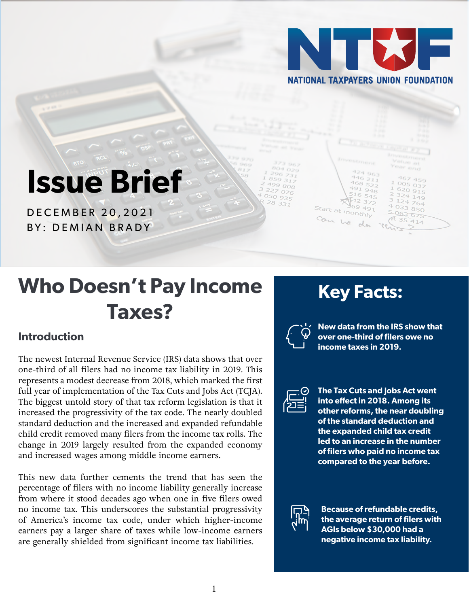

# **Issue Brief**

DECEMBER 20,2021 BY: DEMIAN BRADY

## **Who Doesn't Pay Income Taxes?**

### **Introduction**

The newest Internal Revenue Service (IRS) data shows that over one-third of all filers had no income tax liability in 2019. This represents a modest decrease from 2018, which marked the first full year of implementation of the Tax Cuts and Jobs Act (TCJA). The biggest untold story of that tax reform legislation is that it increased the progressivity of the tax code. The nearly doubled standard deduction and the increased and expanded refundable child credit removed many filers from the income tax rolls. The change in 2019 largely resulted from the expanded economy and increased wages among middle income earners.

This new data further cements the trend that has seen the percentage of filers with no income liability generally increase from where it stood decades ago when one in five filers owed no income tax. This underscores the substantial progressivity of America's income tax code, under which higher-income earners pay a larger share of taxes while low-income earners are generally shielded from significant income tax liabilities.

### **Key Facts:**

Start at monthly

Can he

**New data from the IRS show that over one-third of filers owe no income taxes in 2019.**

850

 $414$ 



**The Tax Cuts and Jobs Act went into effect in 2018. Among its other reforms, the near doubling of the standard deduction and the expanded child tax credit led to an increase in the number of filers who paid no income tax compared to the year before.**



**Because of refundable credits, the average return of filers with AGIs below \$30,000 had a negative income tax liability.**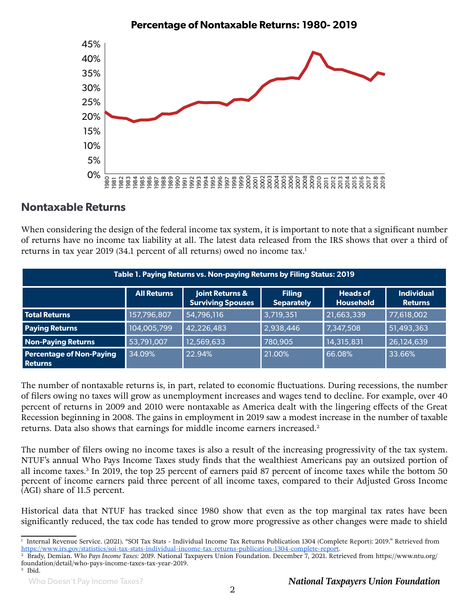

#### **Nontaxable Returns**

When considering the design of the federal income tax system, it is important to note that a significant number of returns have no income tax liability at all. The latest data released from the IRS shows that over a third of returns in [tax year 2019](https://www.irs.gov/statistics/soi-tax-stats-individual-income-tax-returns-publication-1304-complete-report) (34.1 percent of all returns) owed no income tax.<sup>1</sup>

| Table 1. Paying Returns vs. Non-paying Returns by Filing Status: 2019 |                    |                                             |                                    |                                     |                                     |  |  |
|-----------------------------------------------------------------------|--------------------|---------------------------------------------|------------------------------------|-------------------------------------|-------------------------------------|--|--|
|                                                                       | <b>All Returns</b> | Joint Returns &<br><b>Surviving Spouses</b> | <b>Filing</b><br><b>Separately</b> | <b>Heads of</b><br><b>Household</b> | <b>Individual</b><br><b>Returns</b> |  |  |
| <b>Total Returns</b>                                                  | 157,796,807        | 54,796,116                                  | 3,719,351                          | 21,663,339                          | 77,618,002                          |  |  |
| <b>Paying Returns</b>                                                 | 104,005,799        | 42,226,483                                  | 2,938,446                          | 7,347,508                           | 51,493,363                          |  |  |
| <b>Non-Paying Returns</b>                                             | 53,791,007         | 12,569,633                                  | 780,905                            | 14,315,831                          | 26,124,639                          |  |  |
| <b>Percentage of Non-Paying</b><br><b>Returns</b>                     | 34.09%             | 22.94%                                      | 21.00%                             | 66.08%                              | 33.66%                              |  |  |

The number of nontaxable returns is, in part, related to economic fluctuations. During recessions, the number of filers owing no taxes will grow as unemployment increases and wages tend to decline. For example, over 40 percent of returns in 2009 and 2010 were nontaxable as America dealt with the lingering effects of the Great Recession beginning in 2008. The gains in employment in 2019 saw a modest increase in the number of taxable returns. Data also shows that earnings for middle income earners increased.<sup>2</sup>

The number of filers owing no income taxes is also a result of the increasing progressivity of the tax system. NTUF's annual [Who Pays Income Taxes](http://www.ntu.org/foundation/page/who-pays-income-taxes) study finds that the wealthiest Americans pay an outsized portion of all income taxes.<sup>3</sup> In 2019, the top 25 percent of earners paid 87 percent of income taxes while the bottom 50 percent of income earners paid three percent of all income taxes, compared to their Adjusted Gross Income (AGI) share of 11.5 percent.

Historical data that NTUF has tracked since 1980 show that even as the top marginal tax rates have been significantly reduced, the tax code has tended to grow more progressive as other changes were made to shield

<sup>1</sup> Internal Revenue Service. (2021). "SOI Tax Stats - Individual Income Tax Returns Publication 1304 (Complete Report): 2019." Retrieved fro[m](https://www.irs.gov/statistics/soi-tax-stats-individual-income-tax-returns-publication-1304-complete-report)  <https://www.irs.gov/statistics/soi-tax-stats-individual-income-tax-returns-publication-1304-complete-report>.<br><sup>2</sup> Brady, Demian. Who Pays Income Taxes: 2019. National Taxpayers Union Foundation. December 7, 2021. Retrieved

foundation/detail/who-pays-income-taxes-tax-year-2019.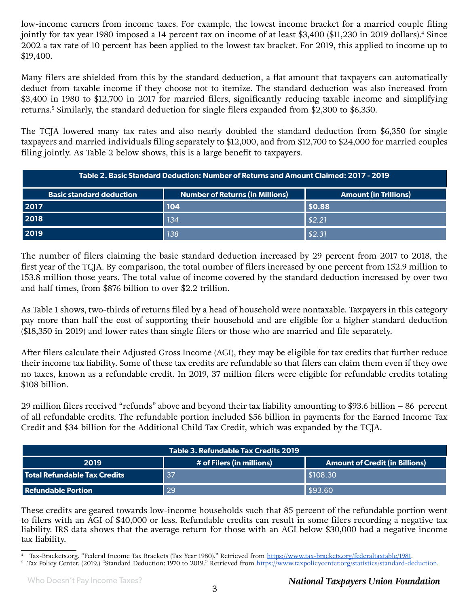low-income earners from income taxes. For example, th[e lowest income bracket](https://www.tax-brackets.org/federaltaxtable/1981) for a married couple filing jointly for tax year 1980 imposed a 14 percent tax on income of at least \$3,400 (\$11,230 in 2019 dollars).<sup>4</sup> Since 2002 a tax rate of 10 percent has been applied to the lowest tax bracket. For 2019, this applied to income up to \$19,400.

Many filers are shielded from this by the standard deduction, a flat amount that taxpayers can automatically deduct from taxable income if they choose not to itemize. The standard deduction was als[o increased](https://www.taxpolicycenter.org/statistics/standard-deduction) from \$3,400 in 1980 to \$12,700 in 2017 for married filers, significantly reducing taxable income and simplifying returns.5 Similarly, the standard deduction for single filers expanded from \$2,300 to \$6,350.

The TCJA lowered many tax rates and also nearly doubled the standard deduction from \$6,350 for single taxpayers and married individuals filing separately to \$12,000, and from \$12,700 to \$24,000 for married couples filing jointly. As Table 2 below shows, this is a large benefit to taxpayers.

| Table 2. Basic Standard Deduction: Number of Returns and Amount Claimed: 2017 - 2019 |                                 |                              |  |  |  |
|--------------------------------------------------------------------------------------|---------------------------------|------------------------------|--|--|--|
| <b>Basic standard deduction</b>                                                      | Number of Returns (in Millions) | <b>Amount (in Trillions)</b> |  |  |  |
| 2017                                                                                 | 104                             | \$0.88                       |  |  |  |
| 2018                                                                                 | <b>134</b>                      | \$2.21                       |  |  |  |
| 2019                                                                                 | 138                             | \$2.31                       |  |  |  |

The number of filers claiming the basic standard deduction increased by 29 percent from 2017 to 2018, the first year of the TCJA. By comparison, the total number of filers increased by one percent from 152.9 million to 153.8 million those years. The total value of income covered by the standard deduction increased by over two and half times, from \$876 billion to over \$2.2 trillion.

As Table 1 shows, two-thirds of returns filed by a head of household were nontaxable. Taxpayers in this category pay more than half the cost of supporting their household and are eligible for a higher standard deduction (\$18,350 in 2019) and lower rates than single filers or those who are married and file separately.

After filers calculate their Adjusted Gross Income (AGI), they may be eligible for tax credits that further reduce their income tax liability. Some of these tax credits are refundable so that filers can claim them even if they owe no taxes, known as a refundable credit. In 2019, 37 million filers were eligible for refundable credits totaling \$108 billion.

29 million filers received "refunds" above and beyond their tax liability amounting to \$93.6 billion – 86 percent of all refundable credits. The refundable portion included \$56 billion in payments for the Earned Income Tax Credit and \$34 billion for the Additional Child Tax Credit, which was expanded by the TCJA.

| Table 3. Refundable Tax Credits 2019 |                           |                                       |  |  |  |
|--------------------------------------|---------------------------|---------------------------------------|--|--|--|
| 2019                                 | # of Filers (in millions) | <b>Amount of Credit (in Billions)</b> |  |  |  |
| l Total Refundable Tax Credits       | $\overline{137}$          | S108.30                               |  |  |  |
| <b>Refundable Portion</b>            | 29                        | \$93.60                               |  |  |  |

These credits are geared towards low-income households such that 85 percent of the refundable portion went to filers with an AGI of \$40,000 or less. Refundable credits can result in some filers recording a negative tax liability. IRS data shows that the average return for those with an AGI below \$30,000 had a negative income tax liability.

<sup>&</sup>lt;sup>4</sup> Tax-Brackets.org. "Federal Income Tax Brackets (Tax Year 1980)." Retrieved from<https://www.tax-brackets.org/federaltaxtable/1981>.

<sup>&</sup>lt;sup>5</sup> Tax Policy Center. (2019.) "Standard Deduction: 1970 to 2019." Retrieved fro[m https://www.taxpolicycenter.org/statistics/standard-deduction.](https://www.taxpolicycenter.org/statistics/standard-deduction)